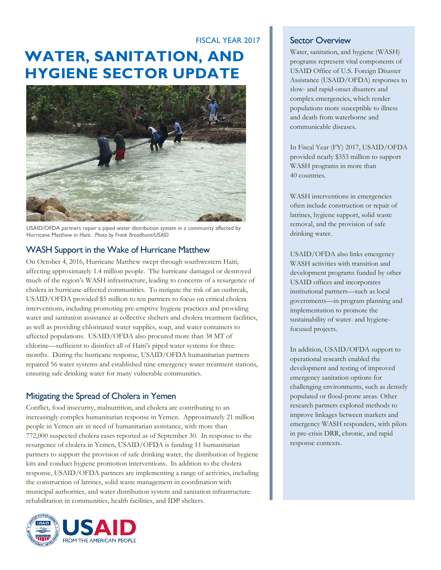## FISCAL YEAR 2017

# **WATER, SANITATION, AND HYGIENE SECTOR UPDATE**



USAID/OFDA partners repair a piped water distribution system in a community affected by Hurricane Matthew in Haiti. *Photo by Frank Broadhurst/USAID*

#### WASH Support in the Wake of Hurricane Matthew

On October 4, 2016, Hurricane Matthew swept through southwestern Haiti, affecting approximately 1.4 million people. The hurricane damaged or destroyed much of the region's WASH infrastructure, leading to concerns of a resurgence of cholera in hurricane-affected communities. To mitigate the risk of an outbreak, USAID/OFDA provided \$5 million to ten partners to focus on critical cholera interventions, including promoting pre-emptive hygiene practices and providing water and sanitation assistance at collective shelters and cholera treatment facilities, as well as providing chlorinated water supplies, soap, and water containers to affected populations. USAID/OFDA also procured more than 38 MT of chlorine—sufficient to disinfect all of Haiti's piped water systems for three months. During the hurricane response, USAID/OFDA humanitarian partners repaired 56 water systems and established nine emergency water treatment stations, ensuring safe drinking water for many vulnerable communities.

### Mitigating the Spread of Cholera in Yemen

Conflict, food insecurity, malnutrition, and cholera are contributing to an increasingly complex humanitarian response in Yemen. Approximately 21 million people in Yemen are in need of humanitarian assistance, with more than 772,000 suspected cholera cases reported as of September 30. In response to the resurgence of cholera in Yemen, USAID/OFDA is funding 11 humanitarian partners to support the provision of safe drinking water, the distribution of hygiene kits and conduct hygiene promotion interventions. In addition to the cholera response, USAID/OFDA partners are implementing a range of activities, including the construction of latrines, solid waste management in coordination with municipal authorities, and water distribution system and sanitation infrastructure rehabilitation in communities, health facilities, and IDP shelters.



#### Sector Overview

Water, sanitation, and hygiene (WASH) programs represent vital components of USAID Office of U.S. Foreign Disaster Assistance (USAID/OFDA) responses to slow- and rapid-onset disasters and complex emergencies, which render populations more susceptible to illness and death from waterborne and communicable diseases.

In Fiscal Year (FY) 2017, USAID/OFDA provided nearly \$353 million to support WASH programs in more than 40 countries.

WASH interventions in emergencies often include construction or repair of latrines, hygiene support, solid waste removal, and the provision of safe drinking water.

USAID/OFDA also links emergency WASH activities with transition and development programs funded by other USAID offices and incorporates institutional partners—such as local governments—in program planning and implementation to promote the sustainability of water- and hygienefocused projects.

In addition, USAID/OFDA support to operational research enabled the development and testing of improved emergency sanitation options for challenging environments, such as densely populated or flood-prone areas. Other research partners explored methods to improve linkages between markets and emergency WASH responders, with pilots in pre-crisis DRR, chronic, and rapid response contexts.